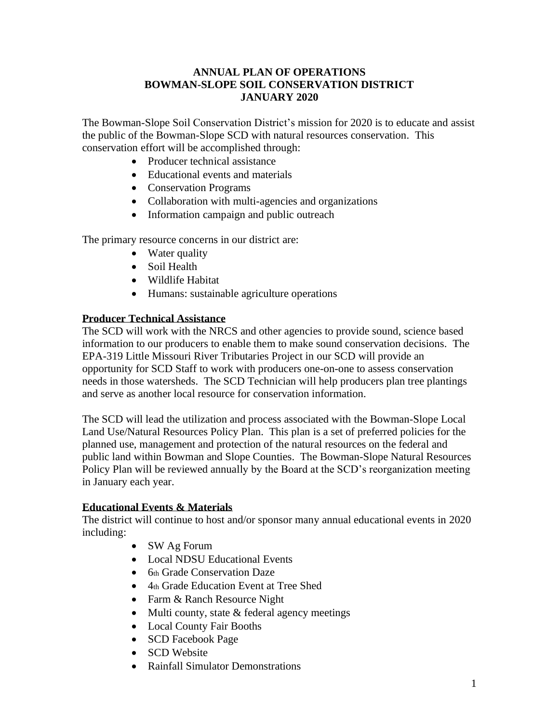# **ANNUAL PLAN OF OPERATIONS BOWMAN-SLOPE SOIL CONSERVATION DISTRICT JANUARY 2020**

The Bowman-Slope Soil Conservation District's mission for 2020 is to educate and assist the public of the Bowman-Slope SCD with natural resources conservation. This conservation effort will be accomplished through:

- Producer technical assistance
- Educational events and materials
- Conservation Programs
- Collaboration with multi-agencies and organizations
- Information campaign and public outreach

The primary resource concerns in our district are:

- Water quality
- Soil Health
- Wildlife Habitat
- Humans: sustainable agriculture operations

### **Producer Technical Assistance**

The SCD will work with the NRCS and other agencies to provide sound, science based information to our producers to enable them to make sound conservation decisions. The EPA-319 Little Missouri River Tributaries Project in our SCD will provide an opportunity for SCD Staff to work with producers one-on-one to assess conservation needs in those watersheds. The SCD Technician will help producers plan tree plantings and serve as another local resource for conservation information.

The SCD will lead the utilization and process associated with the Bowman-Slope Local Land Use/Natural Resources Policy Plan. This plan is a set of preferred policies for the planned use, management and protection of the natural resources on the federal and public land within Bowman and Slope Counties. The Bowman-Slope Natural Resources Policy Plan will be reviewed annually by the Board at the SCD's reorganization meeting in January each year.

# **Educational Events & Materials**

The district will continue to host and/or sponsor many annual educational events in 2020 including:

- SW Ag Forum
- Local NDSU Educational Events
- 6th Grade Conservation Daze
- 4th Grade Education Event at Tree Shed
- Farm & Ranch Resource Night
- Multi county, state & federal agency meetings
- Local County Fair Booths
- SCD Facebook Page
- SCD Website
- Rainfall Simulator Demonstrations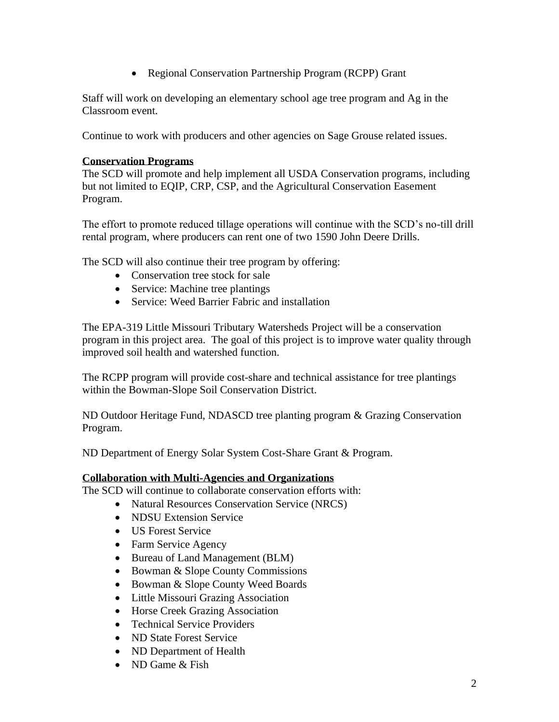• Regional Conservation Partnership Program (RCPP) Grant

Staff will work on developing an elementary school age tree program and Ag in the Classroom event.

Continue to work with producers and other agencies on Sage Grouse related issues.

### **Conservation Programs**

The SCD will promote and help implement all USDA Conservation programs, including but not limited to EQIP, CRP, CSP, and the Agricultural Conservation Easement Program.

The effort to promote reduced tillage operations will continue with the SCD's no-till drill rental program, where producers can rent one of two 1590 John Deere Drills.

The SCD will also continue their tree program by offering:

- Conservation tree stock for sale
- Service: Machine tree plantings
- Service: Weed Barrier Fabric and installation

The EPA-319 Little Missouri Tributary Watersheds Project will be a conservation program in this project area. The goal of this project is to improve water quality through improved soil health and watershed function.

The RCPP program will provide cost-share and technical assistance for tree plantings within the Bowman-Slope Soil Conservation District.

ND Outdoor Heritage Fund, NDASCD tree planting program & Grazing Conservation Program.

ND Department of Energy Solar System Cost-Share Grant & Program.

### **Collaboration with Multi-Agencies and Organizations**

The SCD will continue to collaborate conservation efforts with:

- Natural Resources Conservation Service (NRCS)
- NDSU Extension Service
- US Forest Service
- Farm Service Agency
- Bureau of Land Management (BLM)
- Bowman & Slope County Commissions
- Bowman & Slope County Weed Boards
- Little Missouri Grazing Association
- Horse Creek Grazing Association
- Technical Service Providers
- ND State Forest Service
- ND Department of Health
- ND Game  $& Fish$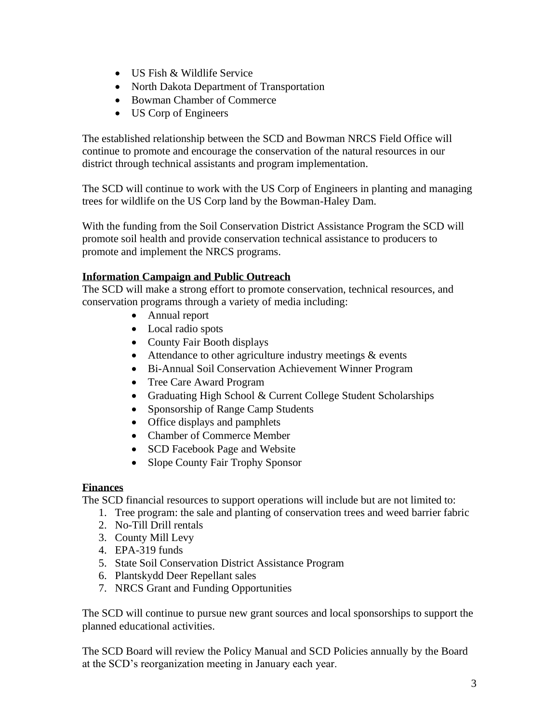- US Fish & Wildlife Service
- North Dakota Department of Transportation
- Bowman Chamber of Commerce
- US Corp of Engineers

The established relationship between the SCD and Bowman NRCS Field Office will continue to promote and encourage the conservation of the natural resources in our district through technical assistants and program implementation.

The SCD will continue to work with the US Corp of Engineers in planting and managing trees for wildlife on the US Corp land by the Bowman-Haley Dam.

With the funding from the Soil Conservation District Assistance Program the SCD will promote soil health and provide conservation technical assistance to producers to promote and implement the NRCS programs.

# **Information Campaign and Public Outreach**

The SCD will make a strong effort to promote conservation, technical resources, and conservation programs through a variety of media including:

- Annual report
- Local radio spots
- County Fair Booth displays
- Attendance to other agriculture industry meetings & events
- Bi-Annual Soil Conservation Achievement Winner Program
- Tree Care Award Program
- Graduating High School & Current College Student Scholarships
- Sponsorship of Range Camp Students
- Office displays and pamphlets
- Chamber of Commerce Member
- SCD Facebook Page and Website
- Slope County Fair Trophy Sponsor

# **Finances**

The SCD financial resources to support operations will include but are not limited to:

- 1. Tree program: the sale and planting of conservation trees and weed barrier fabric
- 2. No-Till Drill rentals
- 3. County Mill Levy
- 4. EPA-319 funds
- 5. State Soil Conservation District Assistance Program
- 6. Plantskydd Deer Repellant sales
- 7. NRCS Grant and Funding Opportunities

The SCD will continue to pursue new grant sources and local sponsorships to support the planned educational activities.

The SCD Board will review the Policy Manual and SCD Policies annually by the Board at the SCD's reorganization meeting in January each year.